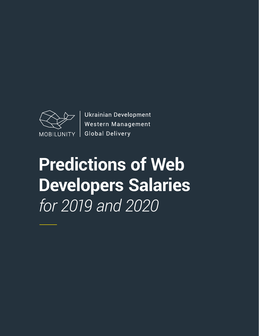

**Ukrainian Development** Western Management **Global Delivery** 

**Predictions of Web Developers Salaries** *for 2019 and 2020*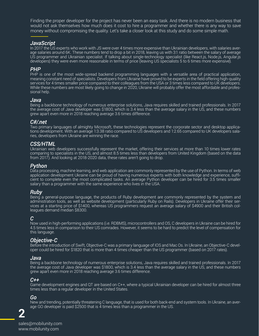Finding the proper developer for the project has never been an easy task. And there is no modern business that would not ask themselves how much does it cost to hire a programmer and whether there is any way to save money without compromising the quality. Let's take a closer look at this study and do some simple math.

#### *JavaScript*

In 2017 the US experts who work with JS were over 4 times more expensive than Ukrainian developers, with salaries average salaries around 6K. These numbers tend to drop a bit in 2018, leaving us with 3:1 ratio between the salary of average US programmer and Ukrainian specialist. If talking about single-technology specialist (like React.js, Node.js, Angular.js developers) they were even more reasonable in terms of price (leaving US specialists 5 to 6 times more expensive).

PHP is one of the most wide-spread backend programming languages with a versatile area of practical application, meaning constant need of specialists. Developers from Ukraine have proved to be experts in the field offering high-quality services for 4 times smaller price compared to their colleagues from the USA or 3 times less compared to UK developers. While these numbers are most likely going to change in 2020, Ukraine will probably offer the most affordable and professional help.

### *PHP*

#### *Java*

Being a backbone technology of numerous enterprise solutions, Java requires skilled and trained professionals. In 2017 the average cost of Java developer was \$1800, which is 3.4 less than the average salary in the US, and these numbers grew apart even more in 2018 reaching average 3.6 times difference.

### *C#/.net*

Two primary languages of almighty Microsoft, these technologies represent the corporate sector and desktop applications development. With an average 1:3.38 ratio compared to US developers and 1:2.65 compared to UK developers salaries, developers from Ukraine are winning the race.

### *CSS/HTML*

Game development engines and QT are based on C++, where a typical Ukrainian developer can be hired for almost three times less than a regular developer in the United States.

Ukrainian web developers successfully represent the market, offering their services at more than 10 times lower rates comparing to specialists in the US, and almost 8.5 times less than developers from United Kingdom (based on the data from 2017). And looking at 2018-2020 data, these rates aren't going to drop.

### *Python*

Data processing, machine learning, and web application are commonly represented by the use of Python. In terms of web application development Ukraine can be proud of having numerous experts with both knowledge and experience, sufficient to complete even the most complicated tasks. An average Python developer can be hired for 3.5 times smaller salary than a programmer with the same experience who lives in the USA.

### *Ruby*

Being a general-purpose language, the products of Ruby development are commonly represented by the system and administration tools, as well as website development (particularly Ruby on Rails). Developers in Ukraine offer their services at a starting price of \$1400, whereas US programmers request an average salary of \$4900 and their British colleagues demand median \$8300.

#### *C*

Now used in high-performing applications (i.e. RDBMS), microcontrollers and OS, C developers in Ukraine can be hired for 4.5 times less in comparison to their US comrades. However, it seems to be hard to predict the level of compensation for this language.

#### *Objective-C*

Before the introduction of Swift, Objective-C was a primary language of IOS and Mac Os. In Ukraine, an Objective-C developer could be hired for \$1820 that is more than 4 times cheaper than the US programmer (based on 2017 rates).

#### *Java*

Being a backbone technology of numerous enterprise solutions, Java requires skilled and trained professionals. In 2017 the average cost of Java developer was \$1800, which is 3.4 less than the average salary in the US, and these numbers grew apart even more in 2018 reaching average 3.6 times difference.

#### *C++*

#### *Go*

New and trending, potentially threatening C language, that is used for both back-end and system tools. In Ukraine, an average GO developer is paid \$2500 that is 4 times less than a programmer in the US.

**2**

sales@mobilunity.com www.mobilunity.com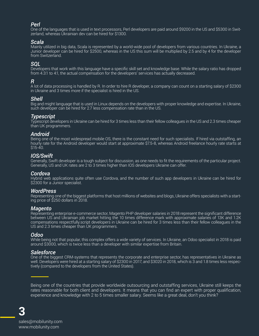Being one of the countries that provide worldwide outsourcing and outstaffing services, Ukraine still keeps the rates reasonable for both client and developers. It means that you can find an expert with proper qualification, experience and knowledge with 2 to 5 times smaller salary. Seems like a great deal, don't you think?

## *Perl*

One of the languages that is used in text processors, Perl developers are paid around \$9200 in the US and \$5300 in Switzerland, whereas Ukrainian dev can be hired for \$1300.

### *Scala*

Mainly utilized in big data, Scala is represented by a world-wide pool of developers from various countries. In Ukraine, a Junior developer can be hired for \$2500, whereas in the US this sum will be multiplied by 2.5 and by 4 for the developer from Switzerland.

### *SQL*

Developers that work with this language have a specific skill set and knowledge base. While the salary ratio has dropped from 4.3:1 to 4:1, the actual compensation for the developers' services has actually decreased.

### *R*

Hybrid web applications quite often use Cordova, and the number of such app developers in Ukraine can be hired for \$2300 for a Junior specialist.

A lot of data processing is handled by R. In order to hire R developer, a company can count on a starting salary of \$2300 in Ukraine and 3 times more if the specialist is hired in the US.

#### *Shell*

Big and might language that is used in Linux depends on the developers with proper knowledge and expertise. In Ukraine, such developer can be hired for 2.7 less compensation rate than in the US.

### *Typescript*

Typescript developers in Ukraine can be hired for 3 times less than their fellow colleagues in the US and 2.3 times cheaper than UK programmers.

While being not that popular, this complex offers a wide variety of services. In Ukraine, an Odoo specialist in 2018 is paid around \$3000, which is twice less than a developer with similar expertise from Britain.

### *Android*

Being one of the most widespread mobile OS, there is the constant need for such specialists. If hired via outstaffing, an hourly rate for the Android developer would start at approximate \$7.5-8, whereas Android freelance hourly rate starts at \$15-40.

### *IOS/Swift*

Generally, Swift developer is a tough subject for discussion, as one needs to fit the requirements of the particular project. Generally, US and UK rates are 2 to 3 times higher than IOS developers Ukraine can offer.

### *Cordova*

#### *WordPress*

Representing one of the biggest platforms that host millions of websites and blogs, Ukraine offers specialists with a starting price of \$250 dollars in 2018.

#### *Magento*

Representing enterprise e-commerce sector, Magento PHP developer salaries in 2018 represent the significant difference between US and Ukrainian job market hitting the 10 times difference mark with approximate salaries of 13K and 1.2K compensations respectfully.script developers in Ukraine can be hired for 3 times less than their fellow colleagues in the US and 2.3 times cheaper than UK programmers.

#### *Odoo*

#### *Salesforce*

One of the biggest CRM-systems that represents the corporate and enterprise sector, has representatives in Ukraine as well. Developers were hired at a starting salary of \$2300 in 2017, and \$3020 in 2018, which is 3 and 1.8 times less respectively (compared to the developers from the United States).

**3**

sales@mobilunity.com www.mobilunity.com